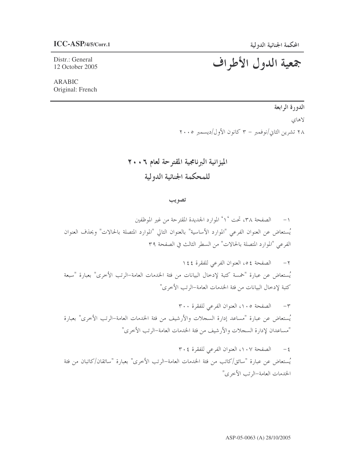Distr.: General 12 October 2005

# جمعية الدول الأطراف

ARABIC Original: French

الدورة الرابعة

لاهاي ۲۸ تشرین الثاني/نوفمبر – ۳ کانون الأول/دیسمبر ۲۰۰۵

الميزانية البرنامجية المقترحة لعام ٦٠٠٦ للمحكمة الجنائية الدولية

تصويب

١– الصفحة ٣٨، تحت °١° الموارد الجديدة المقترحة من غير الموظفين يُستعاض عن العنوان الفرعي "الموارد الأساسية" بالعنوان التالي "الموارد المتصلة بالحالات" ويحذف العنوان لفرعي "الموارد المتصلة بالحالات" من السطر الثالث في الصفحة ٣٩  $\overline{a}$ 

٢ – الصفحة ٥٤، العنوان الفرعي للفقرة ١٤٤ يُستعاض عن عبارة "خمسة كتبة لإدخال البيانات من فئة الخدمات العامة–الرتب الأخرى" بعبارة "سبعة كتبة لإدخال البيانات من فئة الخدمات العامة–الرتب الأخرى"

٣٠٣ – الصفحة ١٠٥، العنوان الفرعي للفقرة ٣٠٠ يُستعاض عن عبارة "مساعد إدارة السحلات والأرشيف من فئة الخدمات العامة–الرتب الأخرى" بعبارة "مساعدان لإدارة السجلات والأرشيف من فئة الخدمات العامة–الرتب الأخرى"

٤ – الصفحة ١٠٧، العنوان الفرعي للفقرة ٣٠٤ يُستعاض عن عبارة "سائق/كاتب من فئة الخدمات العامة–الرتب الأخرى" بعبارة "سائقان/كاتبان من فئة الخدمات العامة–الرتب الأخرى"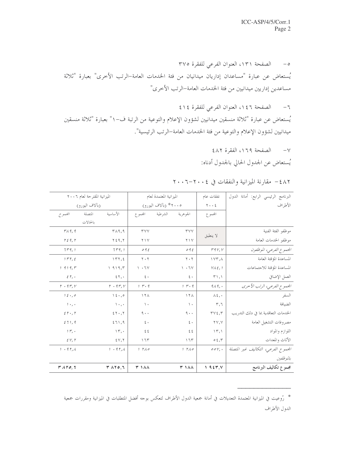٥- الصفحة ١٣١، العنوان الفرعي للفقرة ٣٧٥ يُستعاض عن عبارة "مساعدان إداريان ميدانيان من فئة الخدمات العامة–الرتب الأخرى" بعبارة "ثلاثة مساعدين إداريين ميدانيين من فئة الخدمات العامة–الرتب الأخرى"

٦- الصفحة ١٤٦، العنوان الفرعي للفقرة ٤١٤ يُستعاض عن عبارة "ثلاثة منسقين ميدانيين لشؤون الإعلام والتوعية من الرتبة ف-١" بعبارة "ثلاثة منسقين ميدانيين لشؤون الإعلام والتوعية من فئة الخدمات العامة–الرتب الرئيسية".

٧- الصفحة ١٦٩، الفقرة ٤٨٢

يُستعاض عن الجدول الحالي بالجدول أدناه:

|                              | الميزانية المقترحة لعام ٢٠٠٦ |                            |                               | الميزانية المعتمدة لعام       | نفقات عام                                             | البرنامج الرئيسي الرابع: أمانة الدول |
|------------------------------|------------------------------|----------------------------|-------------------------------|-------------------------------|-------------------------------------------------------|--------------------------------------|
|                              | (بألاف اليورو)               |                            |                               | ٢٠٠٥* (بآلاف اليورو)          | $\tau \leftrightarrow \xi$                            | الأطراف                              |
| المجموع                      | المتصلة                      | الأساسية                   | المحموع                       | الشرطية<br>الجوهرية           | المجموع                                               |                                      |
|                              | بالحالات                     |                            |                               |                               |                                                       |                                      |
| 1719, 9                      |                              | $Y \wedge 9, 9$            | <b>TVV</b>                    | <b>TYY</b>                    | لا ينطبق                                              | موظفو الفئة الفنية                   |
| $\Gamma$ $\zeta$ 9, $\Gamma$ |                              | Y59, Y                     | $Y \setminus V$               | $Y \wedge Y$                  |                                                       | موظفو الخدمات العامة                 |
| 7rq,1                        |                              | 7r9,1                      | 092                           | 092                           | r q v, v                                              | المحموع الفرعي، الموظفون             |
| 1rr,5                        |                              | 177,5                      | $\mathbf{Y} \cdot \mathbf{Y}$ | $\mathbf{y} \cdot \mathbf{x}$ | $\Upsilon$                                            | المساعدة المؤقتة العامة              |
| 1 919, r                     |                              | 1919,7                     | $\vee$ $\cdot$ $\vee$         | $\vee$ $\cdot$ $\vee$         | $V\Lambda\xi, 1$                                      | المساعدة المؤقتة للاجتماعات          |
| $\epsilon r$ ,               |                              | 55,                        | $\epsilon$ .                  | $\epsilon$ .                  | $\mathsf{r}_1, \mathsf{r}_2$                          | العمل الإضافي                        |
| $r \cdot 9r, v$              |                              | $r \cdot 9r, v$            | 1 r. q                        | 1 r. q                        | 919.                                                  | الجموع الفرعي، الرتب الأخرى          |
| $1\epsilon, \circ$           |                              | $\lambda \xi \cdot \Omega$ | $17\Lambda$                   | $\lambda$ $\tau$              | $\lambda \xi$ , $\cdot$                               | السفر                                |
| $1 + 1$                      |                              | $\rightarrow$ , .          | $\rightarrow$                 | $\rightarrow$                 | r,7                                                   | الضيافة                              |
| 2r, r                        |                              | 55.7                       | $9 \cdot \cdot$               | 9.1                           | $\mathbf{r} \mathbf{v} \mathbf{\epsilon}, \mathbf{r}$ | الخدمات التعاقدية بما في دلك التدريب |
| 571,9                        |                              | 571,9                      | $\xi$ .                       | $\epsilon$ .                  | $\mathsf{Y}\mathsf{Y},\mathsf{Y}$                     | مصروفات التشغيل العامة               |
| $, r, \cdot$                 |                              | $\Upsilon$ , $\Upsilon$    | $\xi$ $\xi$                   | ٤٤                            | $\Upsilon$ ,                                          | اللوازم والمواد                      |
| $\S V, V$                    |                              | 5Y, 7                      | ۱٦٣                           | 175                           | 05, 7                                                 | الأثاث والمعدات                      |
| 1.45A                        |                              | 1.95A                      | 1 T10                         | 1 T10                         | $\circ \circ \vee$ , .                                | الجمموع الفرعي، التكاليف غير المتصلة |
|                              |                              |                            |                               |                               |                                                       | بالموظفين                            |
| TATO, T                      |                              | $T \wedge T$ $\circ$ , $T$ | <b>٣ ١٨٨</b>                  | <b>٣ ١٨٨</b>                  | $1.95$ $\forall$ .                                    | مجموع تكاليف البرنامج                |

٤٨٢ - مقارنة الميزانية والنفقات في ٢٠٠٤-٢٠٠٦

<sup>\*</sup> رُوعيت في الميزانية المعتمدة التعديلات في أمانة جمعية الدول الأطراف لتعكس بوحه أفضل المتطلبات في الميزانية ومقررات جمعية الدول الأطراف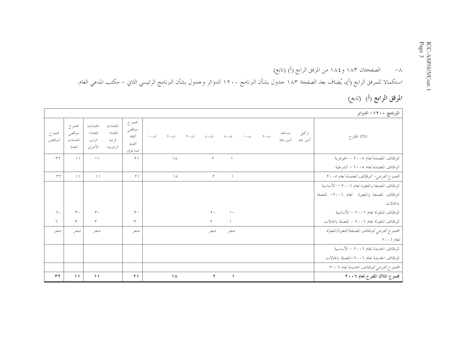## ٨– الصفحتان ١٨٣ و ١٨٤ من المرفق الرابع (أ) (تابع) استكمالا للمرفق الرابع (أ)، يُضاف بعد الصفحة ١٨٣ حدول بشأن البرنامج ١٢٠٠ الدوائر وحدول بشأن البرنامج الرئيسي الثاني – مكتب المدعي العام.

الموفق الوابع (أ) (*نابع)* 

|                   |                                      |                                       |                                          |                                               |     |               |              |                |                     |               |                   |                  | البرنامج ١٢٠٠- الدوائر                            |
|-------------------|--------------------------------------|---------------------------------------|------------------------------------------|-----------------------------------------------|-----|---------------|--------------|----------------|---------------------|---------------|-------------------|------------------|---------------------------------------------------|
| مجموع<br>الموظفين | مجموع<br>موظفى<br>الخلدمات<br>العامة | الخدمات<br>العامة–<br>الرتب<br>الأخرى | الخدمات<br>العامة-<br>الرتبة<br>الرئيسية | مجموع<br>موظفي<br>الفثة<br>الفنية<br>فمما فوق | ف-١ | ف–۲           |              |                | $\lambda - \lambda$ | $Y - \lambda$ | مساعد<br>أمين عام | وكيل<br>أمين عام | الملاك المقترح                                    |
| $\tau \tau$       | $\frac{1}{2}$                        | $\setminus$                           |                                          | $\Upsilon$                                    |     | $\Lambda$     | $\mathsf{r}$ |                |                     |               |                   |                  | الوظائف المعتمدة لعام ٢٠٠٥ - الجوهرية             |
|                   |                                      |                                       |                                          |                                               |     |               |              |                |                     |               |                   |                  | الوظائف المعتمدة لعام ٢٠٠٥ - الشرطية              |
| r r               | 11                                   | 1 <sub>1</sub>                        |                                          | $\uparrow$ )                                  |     | $\mathcal{A}$ | $\mathsf{r}$ | $\overline{1}$ |                     |               |                   |                  | الجمعوع الفرعبي – الوظائف المعتمدة لعام ٢٠٠٥      |
|                   |                                      |                                       |                                          |                                               |     |               |              |                |                     |               |                   |                  | الوظائف المصنفة والمتغيرة لعام ٢٠٠٦ – الأساسية    |
|                   |                                      |                                       |                                          |                                               |     |               |              |                |                     |               |                   |                  | الوظائف المصنفة والمتغيرة لعام ٢٠٠٦- المتصلة      |
|                   |                                      |                                       |                                          |                                               |     |               |              |                |                     |               |                   |                  | بالحالات                                          |
| $7 -$             | $r-$                                 | $r -$                                 |                                          | $r-$                                          |     |               | $Y -$        | $\setminus$    |                     |               |                   |                  | الوظائف المنقولة لعام ٢٠٠٦ = الأساسية             |
| ٦.                | $\tau$                               | ٣                                     |                                          | ٣                                             |     |               | $\Upsilon$   |                |                     |               |                   |                  | الوظائف المنقولة لعام ٢٠٠٦ - المتصلة بالحالات     |
| صفر               | صفر                                  | صفر                                   |                                          | صفر                                           |     |               | صفر          | صفر            |                     |               |                   |                  | الجمموع الفرعبي للوظائف المصنفة/المتغيرة/المنقولة |
|                   |                                      |                                       |                                          |                                               |     |               |              |                |                     |               |                   |                  | $\gamma \cdot \cdot 7$ لعام $\sim$                |
|                   |                                      |                                       |                                          |                                               |     |               |              |                |                     |               |                   |                  | الوظائف الجديدة لعام ٢٠٠٦ = الأساسية              |
|                   |                                      |                                       |                                          |                                               |     |               |              |                |                     |               |                   |                  | الوظائف الجديدة لعام ٢٠٠٦–المتصلة بالحالات        |
|                   |                                      |                                       |                                          |                                               |     |               |              |                |                     |               |                   |                  | الجموع الفرعي للوظائف الجديدة لعام ٢٠٠٦           |
| ۳۲                | $\mathcal{L}$                        | $\lambda$                             |                                          | $\bf{y}$                                      |     | $\lambda$     | ۲            |                |                     |               |                   |                  | مجموع الملاك المقترح لعام ٢٠٠٦                    |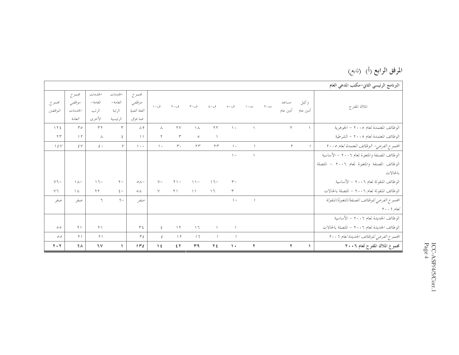# المرفق الرابع (أ) (*نابع*)

|                   |                                        |                                       |                                          |                                           |              |                |                                  |                                  |                |                          |           |                             |                  | البرنامج الرئيسي الثاني–مكتب المدعى العام                                      |
|-------------------|----------------------------------------|---------------------------------------|------------------------------------------|-------------------------------------------|--------------|----------------|----------------------------------|----------------------------------|----------------|--------------------------|-----------|-----------------------------|------------------|--------------------------------------------------------------------------------|
| مجموع<br>الموظفين | مجموع<br>موظفى<br>الخياييمات<br>العامة | الخدمات<br>العامة–<br>الرتب<br>الأخرى | الخدمات<br>العامة-<br>الرتبة<br>الرئيسية | مجموع<br>موظفي<br>الفثة الفنية<br>فما فوق | ف-١          | ف−۲            |                                  | ف-٤                              | ف−ه            | $1 - \lambda$            | $Y - J_0$ | مساعد<br>أمين عام           | وكيل<br>أمين عام | الملاك المقترح                                                                 |
| 175               | $r \circ$                              | $\tau \tau$                           | $\mathsf{r}$                             | $\Lambda$ 9                               | $\wedge$     | $\mathbf{y}$   | $\setminus \wedge$               | $\Upsilon$                       | $\lambda$      |                          |           | $\Upsilon$                  | $\sqrt{2}$       | الوظائف المعتمدة لعام ٢٠٠٥ - الجوهرية                                          |
| $\Upsilon$        | 1 <sub>r</sub>                         | $\wedge$                              | $\epsilon$                               | 11                                        | $\mathbf{r}$ | ٣              | $\circ$                          | $\lambda$                        |                |                          |           |                             |                  | الوظائف المعتمدة لعام ٢٠٠٥ - الشرطية                                           |
| 15V               | $\mathcal{E} V$                        | $\xi$ .                               | $\mathcal V$                             | $1 + 1$                                   | $, \cdot$    | $r \cdot$      | $\uparrow \uparrow$              | rr                               | 1.1            |                          |           | $\mathcal{L}_{\mathcal{L}}$ | $\overline{1}$   | الجمعوع الفرعبي – الوظائف المعتمدة لعام ٢٠٠٥                                   |
|                   |                                        |                                       |                                          |                                           |              |                |                                  |                                  | $\setminus$    | $\sqrt{ }$               |           |                             |                  | الوظائف المصنفة والمتغيرة لعام ٢٠٠٦ = الأساسية                                 |
|                   |                                        |                                       |                                          |                                           |              |                |                                  |                                  |                |                          |           |                             |                  | الوظائف المصنفة والمتغيرة لعام ٢٠٠٦ - المتصلة                                  |
|                   |                                        |                                       |                                          |                                           |              |                |                                  |                                  |                |                          |           |                             |                  | بالحالات                                                                       |
| $V -$             | $\Lambda$ $\Lambda$ $-$                | $\Delta$ $\Delta$ $-$                 | $\mathbf{y}$                             | $O(\lambda -$                             | $V -$        | $\Upsilon$ \ - | $\wedge$ $\wedge$                | $\bigwedge \overline{\bigwedge}$ | $r-$           |                          |           |                             |                  | الوظائف المنقولة لعام ٢٠٠٦ = الأساسية                                          |
| $\vee$ 7          | $\lambda$                              | $\Upsilon$                            | $\xi -$                                  | $\mathcal{O}(\mathcal{A})$                | $\vee$       | $\Upsilon$     | $\setminus$                      | $\sqrt{7}$                       | $\mathbf{r}$   |                          |           |                             |                  | الوظائف المنقولة لعام ٢٠٠٦ - المتصلة بالحالات                                  |
| صفر               | صفر                                    | ٦                                     | $7 -$                                    | صفر                                       |              |                |                                  |                                  | $1 -$          | $\overline{\phantom{a}}$ |           |                             |                  | المحموع الفرعي للوظائف المصنفة/المتغيرة/المنقولة                               |
|                   |                                        |                                       |                                          |                                           |              |                |                                  |                                  |                |                          |           |                             |                  | $\mathfrak{r}\cdot\cdot\mathfrak{r}$ لعام $\mathfrak{r}\cdot\cdot\mathfrak{r}$ |
|                   |                                        |                                       |                                          |                                           |              |                |                                  |                                  |                |                          |           |                             |                  | الوظائف الجديدة لعام ٢٠٠٦ = الأساسية                                           |
| $\circ \circ$     | $\Upsilon \setminus$                   | $\Upsilon \setminus$                  |                                          | $r \epsilon$                              | $\epsilon$   | $\gamma$       | $\bigwedge \overline{\bigwedge}$ | $\lambda$                        |                |                          |           |                             |                  | الوظائف الجديدة لعام ٢٠٠٦ – المتصلة بالحالات                                   |
| $\mathcal{O}$     | $\uparrow$ $\uparrow$                  | $\uparrow$ $\uparrow$                 |                                          | $r\epsilon$                               | $\epsilon$   | 1 <sub>r</sub> | 17                               | $\overline{1}$                   | $\overline{1}$ |                          |           |                             |                  | الجمموع الفرعي للوظائف الجديدة لعام ٢٠٠٦                                       |
| $Y \cdot Y$       | 7 <sub>A</sub>                         | 7 <sup>V</sup>                        | $\blacktriangle$                         | $1 - 5$                                   | $\sqrt{2}$   | 54             | 44                               | $Y \xi$                          | $\lambda$      | $\mathbf{r}$             |           | $\blacktriangledown$        | $\Delta$         | مجموع الملاك المقترح لعام ٢٠٠٦                                                 |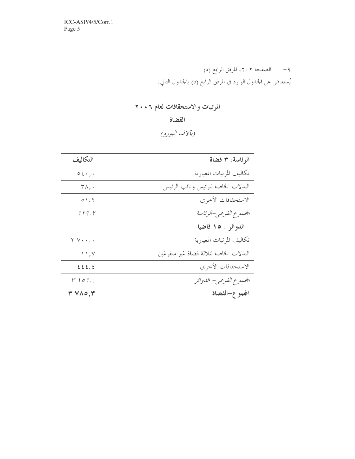ICC-ASP/4/5/Corr.1 Page 5

> ٩- الصفحة ٢٠٢، المرفق الرابع (د) يُستعاض عن الجدول الوارد في المرفق الرابع (د) بالجدول التالي:

### المرتبات والاستحقاقات لعام ٢٠٠٦

القضاة

(بآلاف اليورو)

| التكاليف                   | الرئاسة: ٣ قضاة                        |
|----------------------------|----------------------------------------|
| $0.5.4$ ,                  | تكاليف المرتبات المعيارية              |
| $\mathsf{r}_\wedge, \cdot$ | البدلات الخاصة للرئيس ونائب الرئيس     |
| $\circ$ \, \               | الاستحقاقات الأخرى                     |
| 7 r 9, r                   | المحموع الفرعبي–الرئاسة                |
|                            | الدوائر : ١٥ قاضيا                     |
| $Y \vee \cdot \cdot \cdot$ | تكاليف المرتبات المعيارية              |
| $\setminus$ , $\vee$       | البدلات الخاصة لثلاثة قضاة غير متفرغين |
| 225, 2                     | الاستحقاقات الأخرى                     |
| $r \sim 107,1$             | الجموع الفرعي– الدوائر                 |
| $Y \vee \wedge o, Y$       | الجمو ع–القضاة                         |